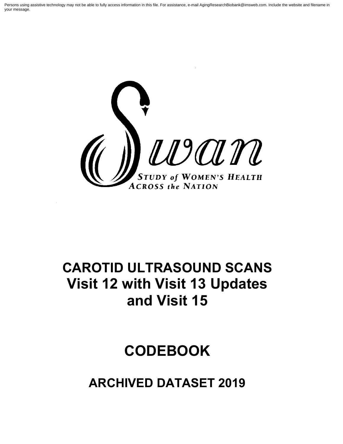Persons using assistive technology may not be able to fully access information in this file. For assistance, e-mail AgingResearchBiobank@imsweb.com. Include the website and filename in your message.



# **CAROTID ULTRASOUND SCANS Visit 12 with Visit 13 Updates and Visit 15**

# **CODEBOOK**

**ARCHIVED DATASET 2019**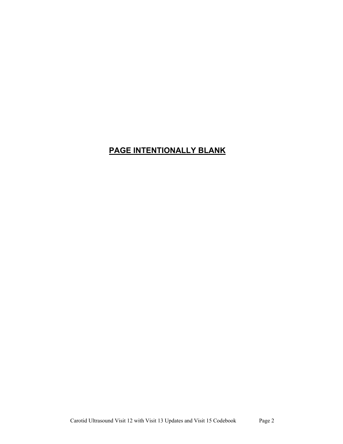# **PAGE INTENTIONALLY BLANK**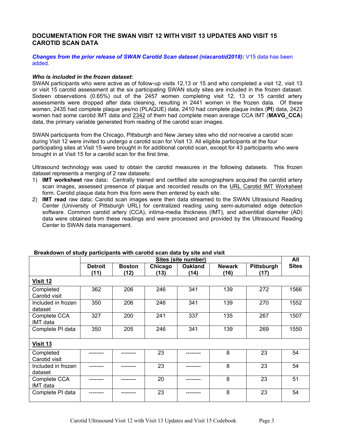# **DOCUMENTATION FOR THE SWAN VISIT 12 WITH VISIT 13 UPDATES AND VISIT 15 CAROTID SCAN DATA**

#### **Changes from the prior release of SWAN Carotid Scan dataset (niacarotid2018):** V15 data has been added.

#### *Who is included in the frozen dataset***:**

SWAN participants who were active as of follow-up visits 12,13 or 15 and who completed a visit 12, visit 13 or visit 15 carotid assessment at the six participating SWAN study sites are included in the frozen dataset. Sixteen observations (0.65%) out of the 2457 women completing visit 12, 13 or 15 carotid artery assessments were dropped after data cleaning, resulting in 2441 women in the frozen data. Of these women, 2435 had complete plaque yes/no (PLAQUE) data, 2410 had complete plaque index (**PI**) data, 2423 women had some carotid IMT data and 2342 of them had complete mean average CCA IMT (**MAVG\_CCA**) data, the primary variable generated from reading of the carotid scan images.

SWAN participants from the Chicago, Pittsburgh and New Jersey sites who did *not* receive a carotid scan during Visit 12 were invited to undergo a carotid scan for Visit 13. All eligible participants at the four participating sites at Visit 15 were brought in for additional carotid scan, except for 43 participants who were brought in at Visit 15 for a carotid scan for the first time.

Ultrasound technology was used to obtain the carotid measures in the following datasets. This frozen dataset represents a merging of 2 raw datasets:

- 1) **IMT worksheet** raw data**:** Centrally trained and certified site sonographers acquired the carotid artery scan images, assessed presence of plaque and recorded results on the URL Carotid IMT Worksheet form. Carotid plaque data from this form were then entered by each site.
- 2) **IMT read** raw data**:** Carotid scan images were then data streamed to the SWAN Ultrasound Reading Center (University of Pittsburgh URL) for centralized reading using semi-automated edge detection software. Common carotid artery (CCA), intima-media thickness (IMT), and adventitial diameter (AD) data were obtained from these readings and were processed and provided by the Ultrasound Reading Center to SWAN data management.

|                               | Sites (site number)    |                       |                 |                        |                       | All                |              |
|-------------------------------|------------------------|-----------------------|-----------------|------------------------|-----------------------|--------------------|--------------|
|                               | <b>Detroit</b><br>(11) | <b>Boston</b><br>(12) | Chicago<br>(13) | <b>Oakland</b><br>(14) | <b>Newark</b><br>(16) | Pittsburgh<br>(17) | <b>Sites</b> |
| Visit 12                      |                        |                       |                 |                        |                       |                    |              |
| Completed<br>Carotid visit    | 362                    | 206                   | 246             | 341                    | 139                   | 272                | 1566         |
| Included in frozen<br>dataset | 350                    | 206                   | 246             | 341                    | 139                   | 270                | 1552         |
| Complete CCA<br>IMT data      | 327                    | 200                   | 241             | 337                    | 135                   | 267                | 1507         |
| Complete PI data              | 350                    | 205                   | 246             | 341                    | 139                   | 269                | 1550         |
| Visit 13                      |                        |                       |                 |                        |                       |                    |              |
| Completed<br>Carotid visit    |                        |                       | 23              |                        | 8                     | 23                 | 54           |
| Included in frozen<br>dataset |                        |                       | 23              |                        | 8                     | 23                 | 54           |
| Complete CCA<br>IMT data      |                        |                       | 20              |                        | 8                     | 23                 | 51           |
| Complete PI data              |                        |                       | 23              |                        | 8                     | 23                 | 54           |

#### **Breakdown of study participants with carotid scan data by site and visit**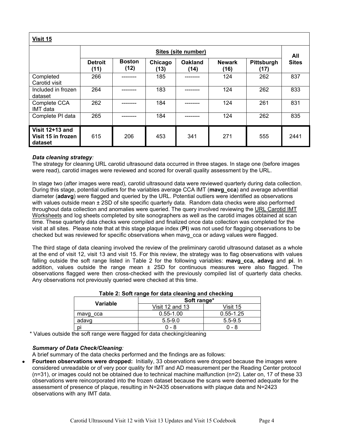| <b>Visit 15</b>                                         |                        |                       |                 |                        |                       |                    |                     |
|---------------------------------------------------------|------------------------|-----------------------|-----------------|------------------------|-----------------------|--------------------|---------------------|
|                                                         |                        | Sites (site number)   |                 |                        |                       |                    |                     |
|                                                         | <b>Detroit</b><br>(11) | <b>Boston</b><br>(12) | Chicago<br>(13) | <b>Oakland</b><br>(14) | <b>Newark</b><br>(16) | Pittsburgh<br>(17) | All<br><b>Sites</b> |
| Completed<br>Carotid visit                              | 266                    |                       | 185             |                        | 124                   | 262                | 837                 |
| Included in frozen<br>dataset                           | 264                    |                       | 183             |                        | 124                   | 262                | 833                 |
| Complete CCA<br>IMT data                                | 262                    | -------               | 184             |                        | 124                   | 261                | 831                 |
| Complete PI data                                        | 265                    |                       | 184             |                        | 124                   | 262                | 835                 |
| <b>Visit 12+13 and</b><br>Visit 15 in frozen<br>dataset | 615                    | 206                   | 453             | 341                    | 271                   | 555                | 2441                |

#### *Data cleaning strategy:*

The strategy for cleaning URL carotid ultrasound data occurred in three stages. In stage one (before images were read), carotid images were reviewed and scored for overall quality assessment by the URL.

In stage two (after images were read), carotid ultrasound data were reviewed quarterly during data collection. During this stage, potential outliers for the variables average CCA IMT (**mavg\_cca**) and average adventitial diameter (**adavg**) were flagged and queried by the URL. Potential outliers were identified as observations with values outside mean  $\pm$  2SD of site specific quarterly data. Random data checks were also performed throughout data collection and anomalies were queried. The query involved reviewing the URL Carotid IMT Worksheets and log sheets completed by site sonographers as well as the carotid images obtained at scan time. These quarterly data checks were compiled and finalized once data collection was completed for the visit at all sites. Please note that at this stage plaque index (**PI**) was not used for flagging observations to be checked but was reviewed for specific observations when mavg\_cca or adavg values were flagged.

The third stage of data cleaning involved the review of the preliminary carotid ultrasound dataset as a whole at the end of visit 12, visit 13 and visit 15. For this review, the strategy was to flag observations with values falling outside the soft range listed in Table 2 for the following variables: **mavg\_cca, adavg** and **pi**. In addition, values outside the range mean  $\pm$  2SD for continuous measures were also flagged. The observations flagged were then cross-checked with the previously compiled list of quarterly data checks. Any observations not previously queried were checked at this time.

| rapic 2. Ook range for aald clearing and checking |                 |               |  |  |
|---------------------------------------------------|-----------------|---------------|--|--|
| Variable                                          | Soft range*     |               |  |  |
|                                                   | Visit 12 and 13 | Visit 15      |  |  |
| mavg cca                                          | $0.55 - 1.00$   | $0.55 - 1.25$ |  |  |
| adavg                                             | $5.5 - 9.0$     | $5.5 - 9.5$   |  |  |
| рi                                                | $0 - 8$         | $0 - 8$       |  |  |

| Table 2: Soft range for data cleaning and checking |  |  |
|----------------------------------------------------|--|--|
|----------------------------------------------------|--|--|

\* Values outside the soft range were flagged for data checking/cleaning

## *Summary of Data Check/Cleaning:*

A brief summary of the data checks performed and the findings are as follows:

• **Fourteen observations were dropped:** Initially, 33 observations were dropped because the images were considered unreadable or of very poor quality for IMT and AD measurement per the Reading Center protocol (n=31), or images could not be obtained due to technical machine malfunction (n=2). Later on, 17 of these 33 observations were reincorporated into the frozen dataset because the scans were deemed adequate for the assessment of presence of plaque, resulting in N=2435 observations with plaque data and N=2423 observations with any IMT data.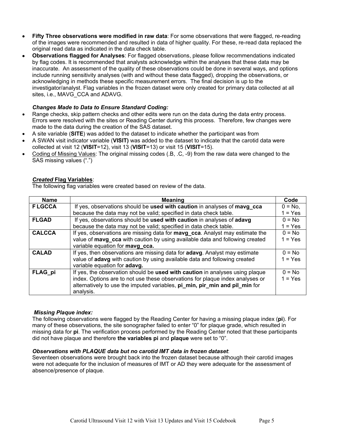- **Fifty Three observations were modified in raw data**: For some observations that were flagged, re-reading of the images were recommended and resulted in data of higher quality. For these, re-read data replaced the original read data as indicated in the data check table.
- **Observations flagged for Analyses**: For flagged observations, please follow recommendations indicated by flag codes. It is recommended that analysts acknowledge within the analyses that these data may be inaccurate. An assessment of the quality of these observations could be done in several ways, and options include running sensitivity analyses (with and without these data flagged), dropping the observations, or acknowledging in methods these specific measurement errors. The final decision is up to the investigator/analyst. Flag variables in the frozen dataset were only created for primary data collected at all sites, i.e., MAVG\_CCA and ADAVG.

#### *Changes Made to Data to Ensure Standard Coding:*

- Range checks, skip pattern checks and other edits were run on the data during the data entry process. Errors were resolved with the sites or Reading Center during this process. Therefore, few changes were made to the data during the creation of the SAS dataset.
- A site variable (**SITE**) was added to the dataset to indicate whether the participant was from
- A SWAN visit indicator variable (**VISIT)** was added to the dataset to indicate that the carotid data were collected at visit 12 (**VISIT**=12), visit 13 (**VISIT**=13) or visit 15 (**VISIT**=15).
- Coding of Missing Values: The original missing codes (.B, .C, -9) from the raw data were changed to the SAS missing values (".")

#### *Created* **Flag Variables**:

The following flag variables were created based on review of the data.

| <b>Name</b>   | <b>Meaning</b>                                                                       | Code       |
|---------------|--------------------------------------------------------------------------------------|------------|
| <b>FLGCCA</b> | If yes, observations should be used with caution in analyses of mavg_cca             | $0 = No$ , |
|               | because the data may not be valid; specified in data check table.                    | 1 = Yes    |
| <b>FLGAD</b>  | If yes, observations should be used with caution in analyses of adavg                | $0 = No$   |
|               | because the data may not be valid; specified in data check table.                    | $=$ Yes    |
| <b>CALCCA</b> | If yes, observations are missing data for <b>mavg_cca</b> . Analyst may estimate the | $0 = No$   |
|               | value of mavg_cca with caution by using available data and following created         | $1 = Yes$  |
|               | variable equation for mavg_cca.                                                      |            |
| <b>CALAD</b>  | If yes, then observations are missing data for adavg. Analyst may estimate           | $0 = No$   |
|               | value of adavg with caution by using available data and following created            | $1 = Yes$  |
|               | variable equation for adavg.                                                         |            |
| FLAG_pi       | If yes, the observation should be used with caution in analyses using plaque         | $0 = No$   |
|               | index. Options are to not use these observations for plaque index analyses or        | $1 = Yes$  |
|               | alternatively to use the imputed variables, pi_min, pir_min and pil_min for          |            |
|               | analysis.                                                                            |            |

#### *Missing Plaque index:*

The following observations were flagged by the Reading Center for having a missing plaque index (**pi**). For many of these observations, the site sonographer failed to enter "0" for plaque grade, which resulted in missing data for **pi**. The verification process performed by the Reading Center noted that these participants did not have plaque and therefore **the variables pi** and **plaque** were set to "0".

#### *Observations with PLAQUE data but no carotid IMT data in frozen dataset*:

Seventeen observations were brought back into the frozen dataset because although their carotid images were not adequate for the inclusion of measures of IMT or AD they were adequate for the assessment of absence/presence of plaque.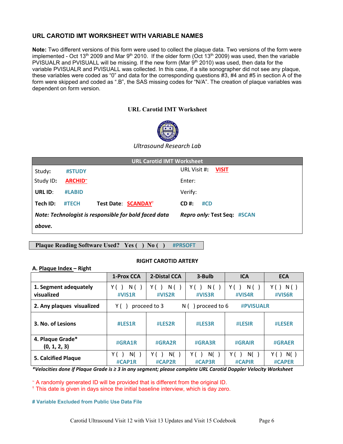# **URL CAROTID IMT WORKSHEET WITH VARIABLE NAMES**

**Note:** Two different versions of this form were used to collect the plaque data. Two versions of the form were implemented - Oct 13<sup>th</sup> 2009 and Mar 9<sup>th</sup> 2010. If the older form (Oct 13<sup>th</sup> 2009) was used, then the variable PVISUALR and PVISUALL will be missing. If the new form (Mar  $9<sup>th</sup>$  2010) was used, then data for the variable PVISUALR and PVISUALL was collected. In this case, if a site sonographer did not see any plaque, these variables were coded as "0" and data for the corresponding questions #3, #4 and #5 in section A of the form were skipped and coded as ".B", the SAS missing codes for "N/A". The creation of plaque variables was dependent on form version.

# **URL Carotid IMT Worksheet**



*Ultrasound Research Lab*

| <b>URL Carotid IMT Worksheet</b> |               |                                 |                                                       |              |     |                                    |
|----------------------------------|---------------|---------------------------------|-------------------------------------------------------|--------------|-----|------------------------------------|
| Study:                           | <b>#STUDY</b> |                                 |                                                       | URL Visit #: |     | <b>VISIT</b>                       |
| Study ID:                        | <b>ARCHID</b> |                                 |                                                       | Enter:       |     |                                    |
| <b>URL ID:</b>                   | <b>#LABID</b> |                                 |                                                       | Verify:      |     |                                    |
| Tech ID:                         | #TECH         | Test Date: SCANDAY <sup>†</sup> |                                                       | $CD$ #:      | #CD |                                    |
|                                  |               |                                 | Note: Technologist is responsible for bold faced data |              |     | <b>Repro only: Test Seq: #SCAN</b> |
| above.                           |               |                                 |                                                       |              |     |                                    |

 **Plaque Reading Software Used? Yes ( ) No ( ) #PRSOFT**

#### **RIGHT CAROTID ARTERY**

#### **A. Plaque Index – Right**

|                                     | 1-Prox CCA                                                     | 2-Distal CCA                 | 3-Bulb                | <b>ICA</b>                   | <b>ECA</b>            |
|-------------------------------------|----------------------------------------------------------------|------------------------------|-----------------------|------------------------------|-----------------------|
| 1. Segment adequately<br>visualized | N( )<br>#VIS1R                                                 | Y (<br>N( )<br><b>#VIS2R</b> | N( )<br>Y (<br>#VIS3R | N(<br><b>#VIS4R</b>          | N( )<br>Y (<br>#VIS6R |
| 2. Any plaques visualized           | proceed to 3<br>$N( )$ proceed to 6<br><b>#PVISUALR</b><br>Y ( |                              |                       |                              |                       |
| 3. No. of Lesions                   | #LES1R                                                         | #LES2R                       | #LES3R                | #LESIR                       | #LESER                |
| 4. Plaque Grade*<br>(0, 1, 2, 3)    | #GRA1R                                                         | #GRA2R                       | #GRA3R                | <b>#GRAIR</b>                | #GRAER                |
| 5. Calcified Plaque                 | N(<br>Y (<br>#CAP1R                                            | N( )<br>Y (<br>#CAP2R        | N(<br>Y (<br>#CAP3R   | N( )<br>Y (<br><b>#CAPIR</b> | N( )<br><b>#CAPER</b> |

*\*Velocities done if Plaque Grade is ≥ 3 in any segment; please complete URL Carotid Doppler Velocity Worksheet*

<sup>~</sup> A randomly generated ID will be provided that is different from the original ID.

**†** This date is given in days since the initial baseline interview, which is day zero.

**# Variable Excluded from Public Use Data File**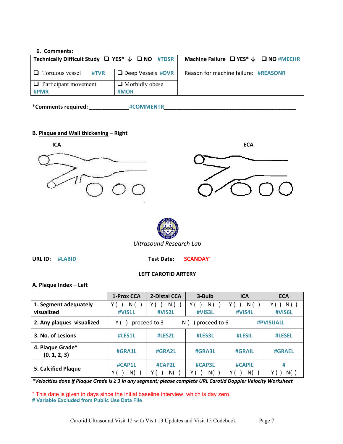# **6. Comments:**

| Technically Difficult Study $\Box$ YES* $\downarrow$ $\Box$ NO #TDSR |                               | Machine Failure $\Box$ YES* $\downarrow$ $\Box$ NO #MECHR |
|----------------------------------------------------------------------|-------------------------------|-----------------------------------------------------------|
| $\Box$ Tortuous vessel #TVR                                          | $\Box$ Deep Vessels #DVR      | Reason for machine failure: #REASONR                      |
| $\Box$ Participant movement<br>$\#PMR$                               | $\Box$ Morbidly obese<br>#MOR |                                                           |

**\*Comments required: \_\_\_\_\_\_\_\_\_\_\_\_\_**#**COMMENTR\_\_\_\_\_\_\_\_\_\_\_\_\_\_\_\_\_\_\_\_\_\_\_\_\_\_\_\_\_\_\_\_\_\_\_\_\_\_\_\_\_\_\_**

# **B. Plaque and Wall thickening** – **Right**







**URL ID: #LABID Test Date: SCANDAY†**

## **LEFT CAROTID ARTERY**

#### **A. Plaque Index – Left**

|                                     | 1-Prox CCA                                                | 2-Distal CCA        | 3-Bulb                     | <b>ICA</b>          | <b>ECA</b>            |
|-------------------------------------|-----------------------------------------------------------|---------------------|----------------------------|---------------------|-----------------------|
| 1. Segment adequately<br>visualized | N (<br>#VIS1L                                             | N (<br>#VIS2L       | N (<br>#VIS3L              | N (<br>#VIS4L       | N( )<br>Y (<br>#VIS6L |
| 2. Any plaques visualized           | proceed to 3<br>) proceed to 6<br><b>#PVISUALL</b><br>N ( |                     |                            |                     |                       |
| 3. No. of Lesions                   | #LES1L                                                    | #LES2L              | #LES3L                     | #LESIL              | #LESEL                |
| 4. Plaque Grade*<br>(0, 1, 2, 3)    | #GRA1L                                                    | #GRA2L              | #GRA3L                     | <b>#GRAIL</b>       | <b>#GRAEL</b>         |
| <b>5. Calcified Plaque</b>          | #CAP1L<br>N(                                              | #CAP2L<br>N(<br>Y ( | <b>#CAP3L</b><br>N(<br>Y ( | <b>#CAPIL</b><br>N( | #<br>N(               |

*\*Velocities done if Plaque Grade is ≥ 3 in any segment; please complete URL Carotid Doppler Velocity Worksheet*

**†** This date is given in days since the initial baseline interview, which is day zero.

**# Variable Excluded from Public Use Data File**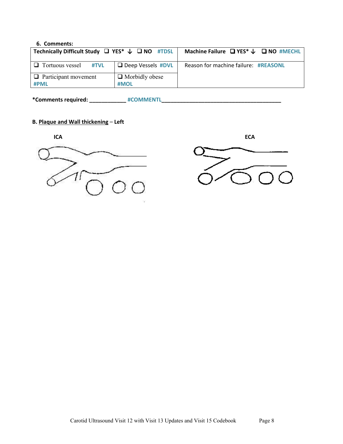# **6. Comments:**

| Technically Difficult Study $\Box$ YES* $\downarrow$ $\Box$ NO #TDSL |                          | Machine Failure $\Box$ YES* $\downarrow$ $\Box$ NO #MECHL |
|----------------------------------------------------------------------|--------------------------|-----------------------------------------------------------|
| $\Box$ Tortuous vessel #TVL                                          | $\Box$ Deep Vessels #DVL | Reason for machine failure: #REASONL                      |
| $\Box$ Participant movement<br>$\Box$ Morbidly obese<br>#MOL<br>#PML |                          |                                                           |

**\*Comments required: \_\_\_\_\_\_\_\_\_\_\_\_ #COMMENTL\_\_\_\_\_\_\_\_\_\_\_\_\_\_\_\_\_\_\_\_\_\_\_\_\_\_\_\_\_\_\_\_\_\_\_\_\_\_\_**

# **B. Plaque and Wall thickening** – **Left**





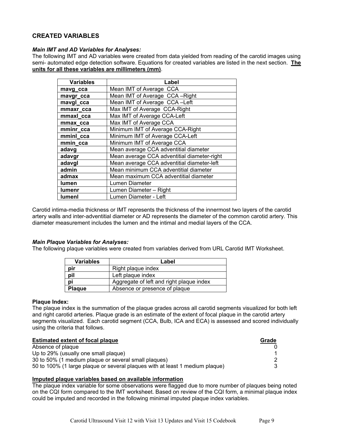# **CREATED VARIABLES**

#### *Main IMT and AD Variables for Analyses:*

The following IMT and AD variables were created from data yielded from reading of the carotid images using semi- automated edge detection software. Equations for created variables are listed in the next section. **The units for all these variables are millimeters (mm)**.

| <b>Variables</b> | Label                                       |
|------------------|---------------------------------------------|
| mavg cca         | Mean IMT of Average CCA                     |
| mavgr_cca        | Mean IMT of Average CCA-Right               |
| mavgl_cca        | Mean IMT of Average CCA-Left                |
| mmaxr_cca        | Max IMT of Average CCA-Right                |
| mmaxl_cca        | Max IMT of Average CCA-Left                 |
| mmax cca         | Max IMT of Average CCA                      |
| mminr cca        | Minimum IMT of Average CCA-Right            |
| mminl cca        | Minimum IMT of Average CCA-Left             |
| mmin_cca         | Minimum IMT of Average CCA                  |
| adavg            | Mean average CCA adventitial diameter       |
| adavgr           | Mean average CCA adventitial diameter-right |
| adavgl           | Mean average CCA adventitial diameter-left  |
| admin            | Mean minimum CCA adventitial diameter       |
| admax            | Mean maximum CCA adventitial diameter       |
| lumen            | Lumen Diameter                              |
| lumenr           | Lumen Diameter - Right                      |
| lumenl           | Lumen Diameter - Left                       |

Carotid intima-media thickness or IMT represents the thickness of the innermost two layers of the carotid artery walls and inter-adventitial diameter or AD represents the diameter of the common carotid artery. This diameter measurement includes the lumen and the intimal and medial layers of the CCA.

#### *Main Plaque Variables for Analyses:*

The following plaque variables were created from variables derived from URL Carotid IMT Worksheet.

| <b>Variables</b> | Label                                    |
|------------------|------------------------------------------|
| pir              | Right plaque index                       |
| pil              | Left plaque index                        |
| рi               | Aggregate of left and right plaque index |
| <b>Plague</b>    | Absence or presence of plaque            |

#### **Plaque Index:**

The plaque index is the summation of the plaque grades across all carotid segments visualized for both left and right carotid arteries. Plaque grade is an estimate of the extent of focal plaque in the carotid artery segments visualized. Each carotid segment (CCA, Bulb, ICA and ECA) is assessed and scored individually using the criteria that follows.

| <b>Estimated extent of focal plaque</b>                                      | Grade |
|------------------------------------------------------------------------------|-------|
| Absence of plaque                                                            |       |
| Up to 29% (usually one small plaque)                                         |       |
| 30 to 50% (1 medium plaque or several small plaques)                         |       |
| 50 to 100% (1 large plague or several plagues with at least 1 medium plague) |       |

#### **Imputed plaque variables based on available information**

The plaque index variable for some observations were flagged due to more number of plaques being noted on the CQI form compared to the IMT worksheet. Based on review of the CQI form, a minimal plaque index could be imputed and recorded in the following minimal imputed plaque index variables.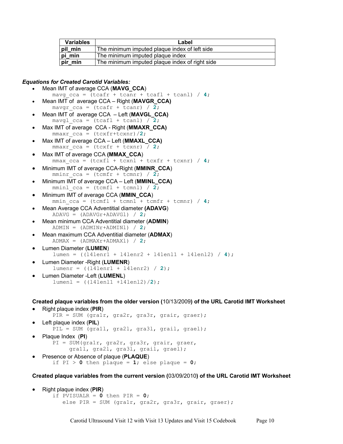| <b>Variables</b> | Label                                          |
|------------------|------------------------------------------------|
| pil_min          | The minimum imputed plaque index of left side  |
| pi_min           | The minimum imputed plaque index               |
| pir_min          | The minimum imputed plaque index of right side |

#### *Equations for Created Carotid Variables:*

- Mean IMT of average CCA (**MAVG\_CCA**) mavg  $cca = (teafr + teanr + teafl + teanl) / 4;$ • Mean IMT of average CCA – Right (**MAVGR\_CCA)** mavgr  $cca = (teafr + teanr) / 2;$ • Mean IMT of average CCA – Left (**MAVGL\_CCA)** mavgl  $cca = (tcafl + tcanl) / 2;$ • Max IMT of average CCA - Right (**MMAXR\_CCA)** mmaxr\_cca = (tcxfr+tcxnr)/**2**; • Max IMT of average CCA – Left (**MMAXL\_CCA)** mmaxr  $cca = (tcxfr + tcxnr) / 2$ ; • Max IMT of average CCA **(MMAX\_CCA**) mmax  $cca = (tcxfl + tcxnl + tcxfr + tcxnr) / 4;$ • Minimum IMT of average CCA-Right (**MMINR\_CCA**) mminr  $cca = (temfr + termfr) / 2;$ • Minimum IMT of average CCA – Left (**MMINL\_CCA)** mminl  $cca = (tcmfl + tcmnl) / 2;$ • Minimum IMT of average CCA (**MMIN\_CCA**) mmin  $cca = (tcmfl + tcmfl + tcmfr + tcmnr) / 4;$ • Mean Average CCA Adventitial diameter **(ADAVG**) ADAVG = (ADAVGr+ADAVGl) / **2**; • Mean minimum CCA Adventitial diameter (**ADMIN**) ADMIN = (ADMINr+ADMINl) / **2**; • Mean maximum CCA Adventitial diameter (**ADMAX**) ADMAX = (ADMAXr+ADMAXl) / **2**; • Lumen Diameter (**LUMEN**)
	- lumen = ((l4lenr1 + l4lenr2 + l4lenl1 + l4lenl2) / **4**);
	- Lumen Diameter -Right (**LUMENR**) lumenr = ((l4lenr1 + l4lenr2) / **2**);
	- Lumen Diameter -Left (**LUMENL**) lumenl = ((l4lenl1 +l4lenl2)/**2**);

**Created plaque variables from the older version (**10/13/2009**) of the URL Carotid IMT Worksheet**

- Right plaque index (**PIR**) PIR = SUM (gra1r, gra2r, gra3r, grair, graer); • Left plaque index (**PIL**) PIL = SUM (gra11, gra21, gra31, grail, grael); • Plaque Index (**PI**) PI = SUM(gra1r, gra2r, gra3r, grair, graer,
	- gra1l, gra2l, gra3l, grail, grael);
- Presence or Absence of plaque (**PLAQUE**) if  $PI > 0$  then plaque = 1; else plaque = 0;

**Created plaque variables from the current version (**03/09/2010**) of the URL Carotid IMT Worksheet**

• Right plaque index (**PIR**) if PVISUALR =  $0$  then PIR =  $0$ ; else PIR = SUM (gra1r, gra2r, gra3r, grair, graer);